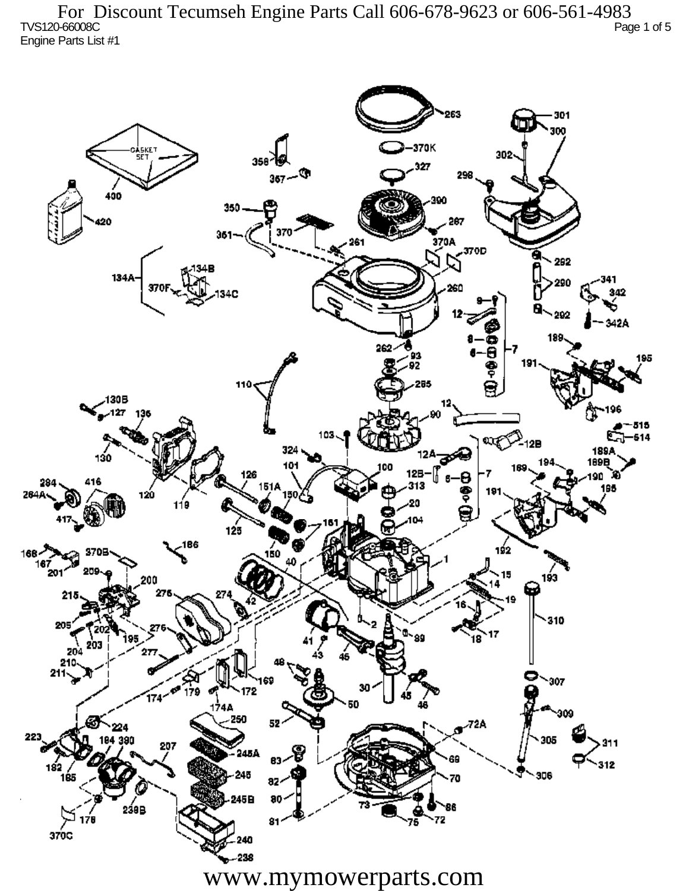TVS120-66008C Page 1 of 5 Engine Parts List #1 For Discount Tecumseh Engine Parts Call 606-678-9623 or 606-561-4983

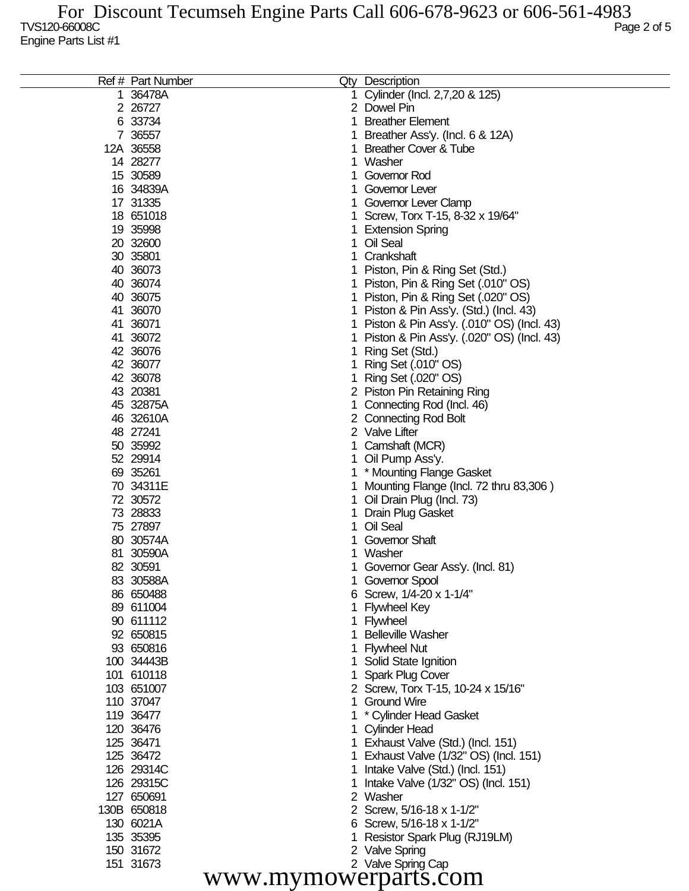| 1 Cylinder (Incl. 2,7,20 & 125)<br>36478A<br>1.<br>2 26727<br>2 Dowel Pin<br>6 33734<br>1.<br><b>Breather Element</b><br>7 36557<br>Breather Ass'y. (Incl. 6 & 12A)<br>1<br>12A 36558<br><b>Breather Cover &amp; Tube</b><br>1.<br>14 28277<br>1 Washer<br>15 30589<br>1 Governor Rod<br>16 34839A<br>1 Governor Lever<br>17 31335<br>1 Governor Lever Clamp<br>18 651018<br>1 Screw, Torx T-15, 8-32 x 19/64"<br>19 35998<br>1 Extension Spring<br>20 32600<br>1 Oil Seal<br>30 35801<br>1 Crankshaft<br>40 36073<br>1 Piston, Pin & Ring Set (Std.)<br>40 36074<br>1 Piston, Pin & Ring Set (.010" OS)<br>1 Piston, Pin & Ring Set (.020" OS)<br>40 36075<br>41 36070<br>1 Piston & Pin Ass'y. (Std.) (Incl. 43)<br>41 36071<br>1 Piston & Pin Ass'y. (.010" OS) (Incl. 43)<br>41 36072<br>Piston & Pin Ass'y. (.020" OS) (Incl. 43)<br>1<br>42 36076<br>Ring Set (Std.)<br>1<br>42 36077<br>Ring Set (.010" OS)<br>1<br>42 36078<br>Ring Set (.020" OS)<br>1<br>43 20381<br>2 Piston Pin Retaining Ring<br>45 32875A<br>1 Connecting Rod (Incl. 46)<br>46 32610A<br>2 Connecting Rod Bolt<br>48 27241<br>2 Valve Lifter<br>50 35992<br>1 Camshaft (MCR)<br>52 29914<br>1 Oil Pump Ass'y.<br>69 35261<br>1 * Mounting Flange Gasket<br>70 34311E<br>Mounting Flange (Incl. 72 thru 83,306)<br>1<br>72 30572<br>Oil Drain Plug (Incl. 73)<br>1.<br>73 28833<br><b>Drain Plug Gasket</b><br>1.<br>75 27897<br>1 Oil Seal<br>80 30574A<br><b>Governor Shaft</b><br>81 30590A<br>1 Washer<br>82 30591<br>1 Governor Gear Ass'y. (Incl. 81)<br>83 30588A<br>1 Governor Spool<br>86 650488<br>6 Screw, 1/4-20 x 1-1/4"<br>89 611004<br>1<br>Flywheel Key<br>90 611112<br>1 Flywheel<br>92 650815<br><b>Belleville Washer</b><br>1.<br>93 650816<br>1 Flywheel Nut<br>100 34443B<br>1 Solid State Ignition<br>101 610118<br>1 Spark Plug Cover<br>103 651007<br>2 Screw, Torx T-15, 10-24 x 15/16"<br>110 37047<br>1 Ground Wire<br>119 36477<br>* Cylinder Head Gasket<br>120 36476<br>1 Cylinder Head<br>125 36471<br>1 Exhaust Valve (Std.) (Incl. 151)<br>125 36472<br>1 Exhaust Valve (1/32" OS) (Incl. 151)<br>126 29314C<br>1 Intake Valve (Std.) (Incl. 151)<br>126 29315C<br>1<br>Intake Valve (1/32" OS) (Incl. 151)<br>127 650691<br>2 Washer<br>130B 650818<br>2 Screw, 5/16-18 x 1-1/2"<br>130 6021A<br>6 Screw, 5/16-18 x 1-1/2"<br>135 35395<br>Resistor Spark Plug (RJ19LM)<br>1<br>150 31672<br>2 Valve Spring |           | Ref # Part Number | Qty Description    |
|----------------------------------------------------------------------------------------------------------------------------------------------------------------------------------------------------------------------------------------------------------------------------------------------------------------------------------------------------------------------------------------------------------------------------------------------------------------------------------------------------------------------------------------------------------------------------------------------------------------------------------------------------------------------------------------------------------------------------------------------------------------------------------------------------------------------------------------------------------------------------------------------------------------------------------------------------------------------------------------------------------------------------------------------------------------------------------------------------------------------------------------------------------------------------------------------------------------------------------------------------------------------------------------------------------------------------------------------------------------------------------------------------------------------------------------------------------------------------------------------------------------------------------------------------------------------------------------------------------------------------------------------------------------------------------------------------------------------------------------------------------------------------------------------------------------------------------------------------------------------------------------------------------------------------------------------------------------------------------------------------------------------------------------------------------------------------------------------------------------------------------------------------------------------------------------------------------------------------------------------------------------------------------------------------------------------------------------------------------------------------------------------------------------------------|-----------|-------------------|--------------------|
|                                                                                                                                                                                                                                                                                                                                                                                                                                                                                                                                                                                                                                                                                                                                                                                                                                                                                                                                                                                                                                                                                                                                                                                                                                                                                                                                                                                                                                                                                                                                                                                                                                                                                                                                                                                                                                                                                                                                                                                                                                                                                                                                                                                                                                                                                                                                                                                                                            |           |                   |                    |
|                                                                                                                                                                                                                                                                                                                                                                                                                                                                                                                                                                                                                                                                                                                                                                                                                                                                                                                                                                                                                                                                                                                                                                                                                                                                                                                                                                                                                                                                                                                                                                                                                                                                                                                                                                                                                                                                                                                                                                                                                                                                                                                                                                                                                                                                                                                                                                                                                            |           |                   |                    |
|                                                                                                                                                                                                                                                                                                                                                                                                                                                                                                                                                                                                                                                                                                                                                                                                                                                                                                                                                                                                                                                                                                                                                                                                                                                                                                                                                                                                                                                                                                                                                                                                                                                                                                                                                                                                                                                                                                                                                                                                                                                                                                                                                                                                                                                                                                                                                                                                                            |           |                   |                    |
|                                                                                                                                                                                                                                                                                                                                                                                                                                                                                                                                                                                                                                                                                                                                                                                                                                                                                                                                                                                                                                                                                                                                                                                                                                                                                                                                                                                                                                                                                                                                                                                                                                                                                                                                                                                                                                                                                                                                                                                                                                                                                                                                                                                                                                                                                                                                                                                                                            |           |                   |                    |
|                                                                                                                                                                                                                                                                                                                                                                                                                                                                                                                                                                                                                                                                                                                                                                                                                                                                                                                                                                                                                                                                                                                                                                                                                                                                                                                                                                                                                                                                                                                                                                                                                                                                                                                                                                                                                                                                                                                                                                                                                                                                                                                                                                                                                                                                                                                                                                                                                            |           |                   |                    |
|                                                                                                                                                                                                                                                                                                                                                                                                                                                                                                                                                                                                                                                                                                                                                                                                                                                                                                                                                                                                                                                                                                                                                                                                                                                                                                                                                                                                                                                                                                                                                                                                                                                                                                                                                                                                                                                                                                                                                                                                                                                                                                                                                                                                                                                                                                                                                                                                                            |           |                   |                    |
|                                                                                                                                                                                                                                                                                                                                                                                                                                                                                                                                                                                                                                                                                                                                                                                                                                                                                                                                                                                                                                                                                                                                                                                                                                                                                                                                                                                                                                                                                                                                                                                                                                                                                                                                                                                                                                                                                                                                                                                                                                                                                                                                                                                                                                                                                                                                                                                                                            |           |                   |                    |
|                                                                                                                                                                                                                                                                                                                                                                                                                                                                                                                                                                                                                                                                                                                                                                                                                                                                                                                                                                                                                                                                                                                                                                                                                                                                                                                                                                                                                                                                                                                                                                                                                                                                                                                                                                                                                                                                                                                                                                                                                                                                                                                                                                                                                                                                                                                                                                                                                            |           |                   |                    |
|                                                                                                                                                                                                                                                                                                                                                                                                                                                                                                                                                                                                                                                                                                                                                                                                                                                                                                                                                                                                                                                                                                                                                                                                                                                                                                                                                                                                                                                                                                                                                                                                                                                                                                                                                                                                                                                                                                                                                                                                                                                                                                                                                                                                                                                                                                                                                                                                                            |           |                   |                    |
|                                                                                                                                                                                                                                                                                                                                                                                                                                                                                                                                                                                                                                                                                                                                                                                                                                                                                                                                                                                                                                                                                                                                                                                                                                                                                                                                                                                                                                                                                                                                                                                                                                                                                                                                                                                                                                                                                                                                                                                                                                                                                                                                                                                                                                                                                                                                                                                                                            |           |                   |                    |
|                                                                                                                                                                                                                                                                                                                                                                                                                                                                                                                                                                                                                                                                                                                                                                                                                                                                                                                                                                                                                                                                                                                                                                                                                                                                                                                                                                                                                                                                                                                                                                                                                                                                                                                                                                                                                                                                                                                                                                                                                                                                                                                                                                                                                                                                                                                                                                                                                            |           |                   |                    |
|                                                                                                                                                                                                                                                                                                                                                                                                                                                                                                                                                                                                                                                                                                                                                                                                                                                                                                                                                                                                                                                                                                                                                                                                                                                                                                                                                                                                                                                                                                                                                                                                                                                                                                                                                                                                                                                                                                                                                                                                                                                                                                                                                                                                                                                                                                                                                                                                                            |           |                   |                    |
|                                                                                                                                                                                                                                                                                                                                                                                                                                                                                                                                                                                                                                                                                                                                                                                                                                                                                                                                                                                                                                                                                                                                                                                                                                                                                                                                                                                                                                                                                                                                                                                                                                                                                                                                                                                                                                                                                                                                                                                                                                                                                                                                                                                                                                                                                                                                                                                                                            |           |                   |                    |
|                                                                                                                                                                                                                                                                                                                                                                                                                                                                                                                                                                                                                                                                                                                                                                                                                                                                                                                                                                                                                                                                                                                                                                                                                                                                                                                                                                                                                                                                                                                                                                                                                                                                                                                                                                                                                                                                                                                                                                                                                                                                                                                                                                                                                                                                                                                                                                                                                            |           |                   |                    |
|                                                                                                                                                                                                                                                                                                                                                                                                                                                                                                                                                                                                                                                                                                                                                                                                                                                                                                                                                                                                                                                                                                                                                                                                                                                                                                                                                                                                                                                                                                                                                                                                                                                                                                                                                                                                                                                                                                                                                                                                                                                                                                                                                                                                                                                                                                                                                                                                                            |           |                   |                    |
|                                                                                                                                                                                                                                                                                                                                                                                                                                                                                                                                                                                                                                                                                                                                                                                                                                                                                                                                                                                                                                                                                                                                                                                                                                                                                                                                                                                                                                                                                                                                                                                                                                                                                                                                                                                                                                                                                                                                                                                                                                                                                                                                                                                                                                                                                                                                                                                                                            |           |                   |                    |
|                                                                                                                                                                                                                                                                                                                                                                                                                                                                                                                                                                                                                                                                                                                                                                                                                                                                                                                                                                                                                                                                                                                                                                                                                                                                                                                                                                                                                                                                                                                                                                                                                                                                                                                                                                                                                                                                                                                                                                                                                                                                                                                                                                                                                                                                                                                                                                                                                            |           |                   |                    |
|                                                                                                                                                                                                                                                                                                                                                                                                                                                                                                                                                                                                                                                                                                                                                                                                                                                                                                                                                                                                                                                                                                                                                                                                                                                                                                                                                                                                                                                                                                                                                                                                                                                                                                                                                                                                                                                                                                                                                                                                                                                                                                                                                                                                                                                                                                                                                                                                                            |           |                   |                    |
|                                                                                                                                                                                                                                                                                                                                                                                                                                                                                                                                                                                                                                                                                                                                                                                                                                                                                                                                                                                                                                                                                                                                                                                                                                                                                                                                                                                                                                                                                                                                                                                                                                                                                                                                                                                                                                                                                                                                                                                                                                                                                                                                                                                                                                                                                                                                                                                                                            |           |                   |                    |
|                                                                                                                                                                                                                                                                                                                                                                                                                                                                                                                                                                                                                                                                                                                                                                                                                                                                                                                                                                                                                                                                                                                                                                                                                                                                                                                                                                                                                                                                                                                                                                                                                                                                                                                                                                                                                                                                                                                                                                                                                                                                                                                                                                                                                                                                                                                                                                                                                            |           |                   |                    |
|                                                                                                                                                                                                                                                                                                                                                                                                                                                                                                                                                                                                                                                                                                                                                                                                                                                                                                                                                                                                                                                                                                                                                                                                                                                                                                                                                                                                                                                                                                                                                                                                                                                                                                                                                                                                                                                                                                                                                                                                                                                                                                                                                                                                                                                                                                                                                                                                                            |           |                   |                    |
|                                                                                                                                                                                                                                                                                                                                                                                                                                                                                                                                                                                                                                                                                                                                                                                                                                                                                                                                                                                                                                                                                                                                                                                                                                                                                                                                                                                                                                                                                                                                                                                                                                                                                                                                                                                                                                                                                                                                                                                                                                                                                                                                                                                                                                                                                                                                                                                                                            |           |                   |                    |
|                                                                                                                                                                                                                                                                                                                                                                                                                                                                                                                                                                                                                                                                                                                                                                                                                                                                                                                                                                                                                                                                                                                                                                                                                                                                                                                                                                                                                                                                                                                                                                                                                                                                                                                                                                                                                                                                                                                                                                                                                                                                                                                                                                                                                                                                                                                                                                                                                            |           |                   |                    |
|                                                                                                                                                                                                                                                                                                                                                                                                                                                                                                                                                                                                                                                                                                                                                                                                                                                                                                                                                                                                                                                                                                                                                                                                                                                                                                                                                                                                                                                                                                                                                                                                                                                                                                                                                                                                                                                                                                                                                                                                                                                                                                                                                                                                                                                                                                                                                                                                                            |           |                   |                    |
|                                                                                                                                                                                                                                                                                                                                                                                                                                                                                                                                                                                                                                                                                                                                                                                                                                                                                                                                                                                                                                                                                                                                                                                                                                                                                                                                                                                                                                                                                                                                                                                                                                                                                                                                                                                                                                                                                                                                                                                                                                                                                                                                                                                                                                                                                                                                                                                                                            |           |                   |                    |
|                                                                                                                                                                                                                                                                                                                                                                                                                                                                                                                                                                                                                                                                                                                                                                                                                                                                                                                                                                                                                                                                                                                                                                                                                                                                                                                                                                                                                                                                                                                                                                                                                                                                                                                                                                                                                                                                                                                                                                                                                                                                                                                                                                                                                                                                                                                                                                                                                            |           |                   |                    |
|                                                                                                                                                                                                                                                                                                                                                                                                                                                                                                                                                                                                                                                                                                                                                                                                                                                                                                                                                                                                                                                                                                                                                                                                                                                                                                                                                                                                                                                                                                                                                                                                                                                                                                                                                                                                                                                                                                                                                                                                                                                                                                                                                                                                                                                                                                                                                                                                                            |           |                   |                    |
|                                                                                                                                                                                                                                                                                                                                                                                                                                                                                                                                                                                                                                                                                                                                                                                                                                                                                                                                                                                                                                                                                                                                                                                                                                                                                                                                                                                                                                                                                                                                                                                                                                                                                                                                                                                                                                                                                                                                                                                                                                                                                                                                                                                                                                                                                                                                                                                                                            |           |                   |                    |
|                                                                                                                                                                                                                                                                                                                                                                                                                                                                                                                                                                                                                                                                                                                                                                                                                                                                                                                                                                                                                                                                                                                                                                                                                                                                                                                                                                                                                                                                                                                                                                                                                                                                                                                                                                                                                                                                                                                                                                                                                                                                                                                                                                                                                                                                                                                                                                                                                            |           |                   |                    |
|                                                                                                                                                                                                                                                                                                                                                                                                                                                                                                                                                                                                                                                                                                                                                                                                                                                                                                                                                                                                                                                                                                                                                                                                                                                                                                                                                                                                                                                                                                                                                                                                                                                                                                                                                                                                                                                                                                                                                                                                                                                                                                                                                                                                                                                                                                                                                                                                                            |           |                   |                    |
|                                                                                                                                                                                                                                                                                                                                                                                                                                                                                                                                                                                                                                                                                                                                                                                                                                                                                                                                                                                                                                                                                                                                                                                                                                                                                                                                                                                                                                                                                                                                                                                                                                                                                                                                                                                                                                                                                                                                                                                                                                                                                                                                                                                                                                                                                                                                                                                                                            |           |                   |                    |
|                                                                                                                                                                                                                                                                                                                                                                                                                                                                                                                                                                                                                                                                                                                                                                                                                                                                                                                                                                                                                                                                                                                                                                                                                                                                                                                                                                                                                                                                                                                                                                                                                                                                                                                                                                                                                                                                                                                                                                                                                                                                                                                                                                                                                                                                                                                                                                                                                            |           |                   |                    |
|                                                                                                                                                                                                                                                                                                                                                                                                                                                                                                                                                                                                                                                                                                                                                                                                                                                                                                                                                                                                                                                                                                                                                                                                                                                                                                                                                                                                                                                                                                                                                                                                                                                                                                                                                                                                                                                                                                                                                                                                                                                                                                                                                                                                                                                                                                                                                                                                                            |           |                   |                    |
|                                                                                                                                                                                                                                                                                                                                                                                                                                                                                                                                                                                                                                                                                                                                                                                                                                                                                                                                                                                                                                                                                                                                                                                                                                                                                                                                                                                                                                                                                                                                                                                                                                                                                                                                                                                                                                                                                                                                                                                                                                                                                                                                                                                                                                                                                                                                                                                                                            |           |                   |                    |
|                                                                                                                                                                                                                                                                                                                                                                                                                                                                                                                                                                                                                                                                                                                                                                                                                                                                                                                                                                                                                                                                                                                                                                                                                                                                                                                                                                                                                                                                                                                                                                                                                                                                                                                                                                                                                                                                                                                                                                                                                                                                                                                                                                                                                                                                                                                                                                                                                            |           |                   |                    |
|                                                                                                                                                                                                                                                                                                                                                                                                                                                                                                                                                                                                                                                                                                                                                                                                                                                                                                                                                                                                                                                                                                                                                                                                                                                                                                                                                                                                                                                                                                                                                                                                                                                                                                                                                                                                                                                                                                                                                                                                                                                                                                                                                                                                                                                                                                                                                                                                                            |           |                   |                    |
|                                                                                                                                                                                                                                                                                                                                                                                                                                                                                                                                                                                                                                                                                                                                                                                                                                                                                                                                                                                                                                                                                                                                                                                                                                                                                                                                                                                                                                                                                                                                                                                                                                                                                                                                                                                                                                                                                                                                                                                                                                                                                                                                                                                                                                                                                                                                                                                                                            |           |                   |                    |
|                                                                                                                                                                                                                                                                                                                                                                                                                                                                                                                                                                                                                                                                                                                                                                                                                                                                                                                                                                                                                                                                                                                                                                                                                                                                                                                                                                                                                                                                                                                                                                                                                                                                                                                                                                                                                                                                                                                                                                                                                                                                                                                                                                                                                                                                                                                                                                                                                            |           |                   |                    |
|                                                                                                                                                                                                                                                                                                                                                                                                                                                                                                                                                                                                                                                                                                                                                                                                                                                                                                                                                                                                                                                                                                                                                                                                                                                                                                                                                                                                                                                                                                                                                                                                                                                                                                                                                                                                                                                                                                                                                                                                                                                                                                                                                                                                                                                                                                                                                                                                                            |           |                   |                    |
|                                                                                                                                                                                                                                                                                                                                                                                                                                                                                                                                                                                                                                                                                                                                                                                                                                                                                                                                                                                                                                                                                                                                                                                                                                                                                                                                                                                                                                                                                                                                                                                                                                                                                                                                                                                                                                                                                                                                                                                                                                                                                                                                                                                                                                                                                                                                                                                                                            |           |                   |                    |
|                                                                                                                                                                                                                                                                                                                                                                                                                                                                                                                                                                                                                                                                                                                                                                                                                                                                                                                                                                                                                                                                                                                                                                                                                                                                                                                                                                                                                                                                                                                                                                                                                                                                                                                                                                                                                                                                                                                                                                                                                                                                                                                                                                                                                                                                                                                                                                                                                            |           |                   |                    |
|                                                                                                                                                                                                                                                                                                                                                                                                                                                                                                                                                                                                                                                                                                                                                                                                                                                                                                                                                                                                                                                                                                                                                                                                                                                                                                                                                                                                                                                                                                                                                                                                                                                                                                                                                                                                                                                                                                                                                                                                                                                                                                                                                                                                                                                                                                                                                                                                                            |           |                   |                    |
|                                                                                                                                                                                                                                                                                                                                                                                                                                                                                                                                                                                                                                                                                                                                                                                                                                                                                                                                                                                                                                                                                                                                                                                                                                                                                                                                                                                                                                                                                                                                                                                                                                                                                                                                                                                                                                                                                                                                                                                                                                                                                                                                                                                                                                                                                                                                                                                                                            |           |                   |                    |
|                                                                                                                                                                                                                                                                                                                                                                                                                                                                                                                                                                                                                                                                                                                                                                                                                                                                                                                                                                                                                                                                                                                                                                                                                                                                                                                                                                                                                                                                                                                                                                                                                                                                                                                                                                                                                                                                                                                                                                                                                                                                                                                                                                                                                                                                                                                                                                                                                            |           |                   |                    |
|                                                                                                                                                                                                                                                                                                                                                                                                                                                                                                                                                                                                                                                                                                                                                                                                                                                                                                                                                                                                                                                                                                                                                                                                                                                                                                                                                                                                                                                                                                                                                                                                                                                                                                                                                                                                                                                                                                                                                                                                                                                                                                                                                                                                                                                                                                                                                                                                                            |           |                   |                    |
|                                                                                                                                                                                                                                                                                                                                                                                                                                                                                                                                                                                                                                                                                                                                                                                                                                                                                                                                                                                                                                                                                                                                                                                                                                                                                                                                                                                                                                                                                                                                                                                                                                                                                                                                                                                                                                                                                                                                                                                                                                                                                                                                                                                                                                                                                                                                                                                                                            |           |                   |                    |
|                                                                                                                                                                                                                                                                                                                                                                                                                                                                                                                                                                                                                                                                                                                                                                                                                                                                                                                                                                                                                                                                                                                                                                                                                                                                                                                                                                                                                                                                                                                                                                                                                                                                                                                                                                                                                                                                                                                                                                                                                                                                                                                                                                                                                                                                                                                                                                                                                            |           |                   |                    |
|                                                                                                                                                                                                                                                                                                                                                                                                                                                                                                                                                                                                                                                                                                                                                                                                                                                                                                                                                                                                                                                                                                                                                                                                                                                                                                                                                                                                                                                                                                                                                                                                                                                                                                                                                                                                                                                                                                                                                                                                                                                                                                                                                                                                                                                                                                                                                                                                                            |           |                   |                    |
|                                                                                                                                                                                                                                                                                                                                                                                                                                                                                                                                                                                                                                                                                                                                                                                                                                                                                                                                                                                                                                                                                                                                                                                                                                                                                                                                                                                                                                                                                                                                                                                                                                                                                                                                                                                                                                                                                                                                                                                                                                                                                                                                                                                                                                                                                                                                                                                                                            |           |                   |                    |
|                                                                                                                                                                                                                                                                                                                                                                                                                                                                                                                                                                                                                                                                                                                                                                                                                                                                                                                                                                                                                                                                                                                                                                                                                                                                                                                                                                                                                                                                                                                                                                                                                                                                                                                                                                                                                                                                                                                                                                                                                                                                                                                                                                                                                                                                                                                                                                                                                            |           |                   |                    |
|                                                                                                                                                                                                                                                                                                                                                                                                                                                                                                                                                                                                                                                                                                                                                                                                                                                                                                                                                                                                                                                                                                                                                                                                                                                                                                                                                                                                                                                                                                                                                                                                                                                                                                                                                                                                                                                                                                                                                                                                                                                                                                                                                                                                                                                                                                                                                                                                                            |           |                   |                    |
|                                                                                                                                                                                                                                                                                                                                                                                                                                                                                                                                                                                                                                                                                                                                                                                                                                                                                                                                                                                                                                                                                                                                                                                                                                                                                                                                                                                                                                                                                                                                                                                                                                                                                                                                                                                                                                                                                                                                                                                                                                                                                                                                                                                                                                                                                                                                                                                                                            |           |                   |                    |
|                                                                                                                                                                                                                                                                                                                                                                                                                                                                                                                                                                                                                                                                                                                                                                                                                                                                                                                                                                                                                                                                                                                                                                                                                                                                                                                                                                                                                                                                                                                                                                                                                                                                                                                                                                                                                                                                                                                                                                                                                                                                                                                                                                                                                                                                                                                                                                                                                            |           |                   |                    |
|                                                                                                                                                                                                                                                                                                                                                                                                                                                                                                                                                                                                                                                                                                                                                                                                                                                                                                                                                                                                                                                                                                                                                                                                                                                                                                                                                                                                                                                                                                                                                                                                                                                                                                                                                                                                                                                                                                                                                                                                                                                                                                                                                                                                                                                                                                                                                                                                                            |           |                   |                    |
|                                                                                                                                                                                                                                                                                                                                                                                                                                                                                                                                                                                                                                                                                                                                                                                                                                                                                                                                                                                                                                                                                                                                                                                                                                                                                                                                                                                                                                                                                                                                                                                                                                                                                                                                                                                                                                                                                                                                                                                                                                                                                                                                                                                                                                                                                                                                                                                                                            | 151 31673 |                   | 2 Valve Spring Cap |

www.mymowerparts.com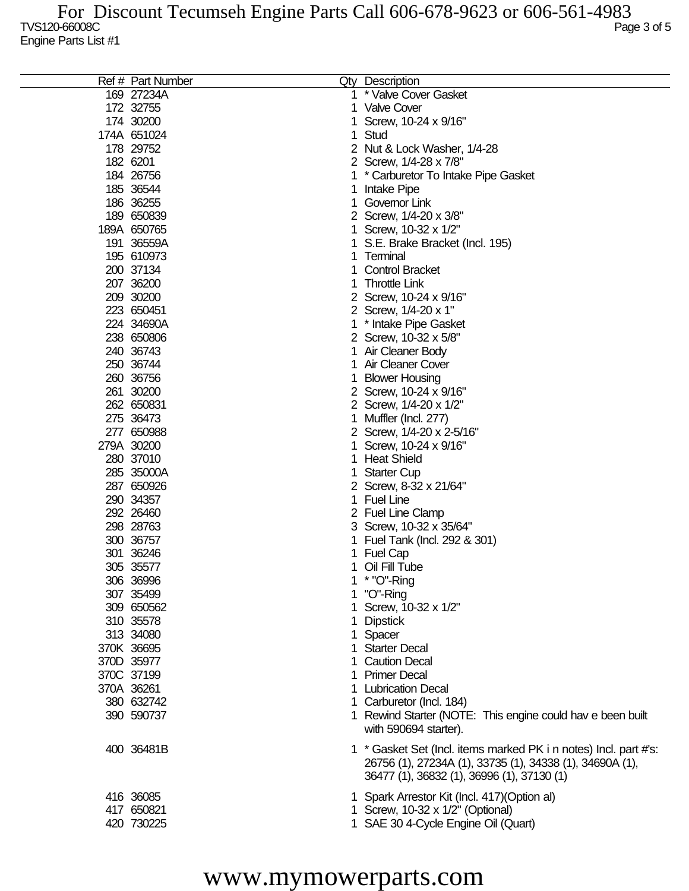|             | Ref # Part Number |   | Qty Description                                                                                                              |
|-------------|-------------------|---|------------------------------------------------------------------------------------------------------------------------------|
|             | 169 27234A        |   | * Valve Cover Gasket                                                                                                         |
| 172 32755   |                   | 1 | <b>Valve Cover</b>                                                                                                           |
| 174 30200   |                   |   | Screw, 10-24 x 9/16"                                                                                                         |
| 174A 651024 |                   |   | Stud                                                                                                                         |
| 178 29752   |                   |   | Nut & Lock Washer, 1/4-28                                                                                                    |
| 182 6201    |                   |   | 2 Screw, 1/4-28 x 7/8"                                                                                                       |
| 184 26756   |                   |   | * Carburetor To Intake Pipe Gasket                                                                                           |
| 185 36544   |                   |   | Intake Pipe                                                                                                                  |
| 186 36255   |                   |   | Governor Link                                                                                                                |
| 189 650839  |                   |   | 2 Screw, 1/4-20 x 3/8"                                                                                                       |
| 189A 650765 |                   |   | Screw, 10-32 x 1/2"                                                                                                          |
| 191 36559A  |                   |   | S.E. Brake Bracket (Incl. 195)                                                                                               |
| 195 610973  |                   |   | Terminal                                                                                                                     |
| 200 37134   |                   |   | <b>Control Bracket</b>                                                                                                       |
| 207 36200   |                   |   | <b>Throttle Link</b>                                                                                                         |
| 209 30200   |                   |   | 2 Screw, 10-24 x 9/16"                                                                                                       |
| 223 650451  |                   |   | 2 Screw, 1/4-20 x 1"                                                                                                         |
|             |                   |   |                                                                                                                              |
| 224 34690A  |                   |   | * Intake Pipe Gasket                                                                                                         |
| 238 650806  |                   |   | 2 Screw, 10-32 x 5/8"                                                                                                        |
| 240 36743   |                   |   | Air Cleaner Body                                                                                                             |
| 250 36744   |                   |   | Air Cleaner Cover                                                                                                            |
| 260 36756   |                   |   | <b>Blower Housing</b>                                                                                                        |
| 261 30200   |                   |   | 2 Screw, 10-24 x 9/16"                                                                                                       |
| 262 650831  |                   |   | 2 Screw, 1/4-20 x 1/2"                                                                                                       |
| 275 36473   |                   |   | Muffler (Incl. 277)                                                                                                          |
| 277 650988  |                   |   | 2 Screw, 1/4-20 x 2-5/16"                                                                                                    |
| 279A 30200  |                   |   | Screw, 10-24 x 9/16"                                                                                                         |
| 280 37010   |                   |   | <b>Heat Shield</b>                                                                                                           |
| 285 35000A  |                   |   | <b>Starter Cup</b>                                                                                                           |
| 287 650926  |                   |   | 2 Screw, 8-32 x 21/64"                                                                                                       |
| 290 34357   |                   |   | <b>Fuel Line</b>                                                                                                             |
| 292 26460   |                   |   | 2 Fuel Line Clamp                                                                                                            |
| 298 28763   |                   |   | 3 Screw, 10-32 x 35/64"                                                                                                      |
| 300 36757   |                   |   | Fuel Tank (Incl. 292 & 301)                                                                                                  |
| 301         | 36246             |   | <b>Fuel Cap</b>                                                                                                              |
| 305 35577   |                   |   | Oil Fill Tube                                                                                                                |
| 306 36996   |                   |   | * "O"-Ring                                                                                                                   |
| 307 35499   |                   |   | "O"-Ring                                                                                                                     |
| 309 650562  |                   |   | 1 Screw, 10-32 x 1/2"                                                                                                        |
| 310 35578   |                   |   | <b>Dipstick</b>                                                                                                              |
| 313 34080   |                   |   | Spacer                                                                                                                       |
| 370K 36695  |                   |   | 1 Starter Decal                                                                                                              |
| 370D 35977  |                   |   | <b>Caution Decal</b>                                                                                                         |
| 370C 37199  |                   |   | 1 Primer Decal                                                                                                               |
| 370A 36261  |                   |   | <b>Lubrication Decal</b>                                                                                                     |
| 380 632742  |                   |   | 1 Carburetor (Incl. 184)                                                                                                     |
| 390 590737  |                   |   | 1 Rewind Starter (NOTE: This engine could hav e been built                                                                   |
|             |                   |   | with 590694 starter).                                                                                                        |
|             |                   |   |                                                                                                                              |
| 400 36481B  |                   |   | 1 * Gasket Set (Incl. items marked PK i n notes) Incl. part #'s:<br>26756 (1), 27234A (1), 33735 (1), 34338 (1), 34690A (1), |
|             |                   |   | 36477 (1), 36832 (1), 36996 (1), 37130 (1)                                                                                   |
| 416 36085   |                   |   | 1 Spark Arrestor Kit (Incl. 417) (Option al)                                                                                 |
| 417 650821  |                   |   | 1 Screw, 10-32 x 1/2" (Optional)                                                                                             |
| 420 730225  |                   |   | 1 SAE 30 4-Cycle Engine Oil (Quart)                                                                                          |
|             |                   |   |                                                                                                                              |

## www.mymowerparts.com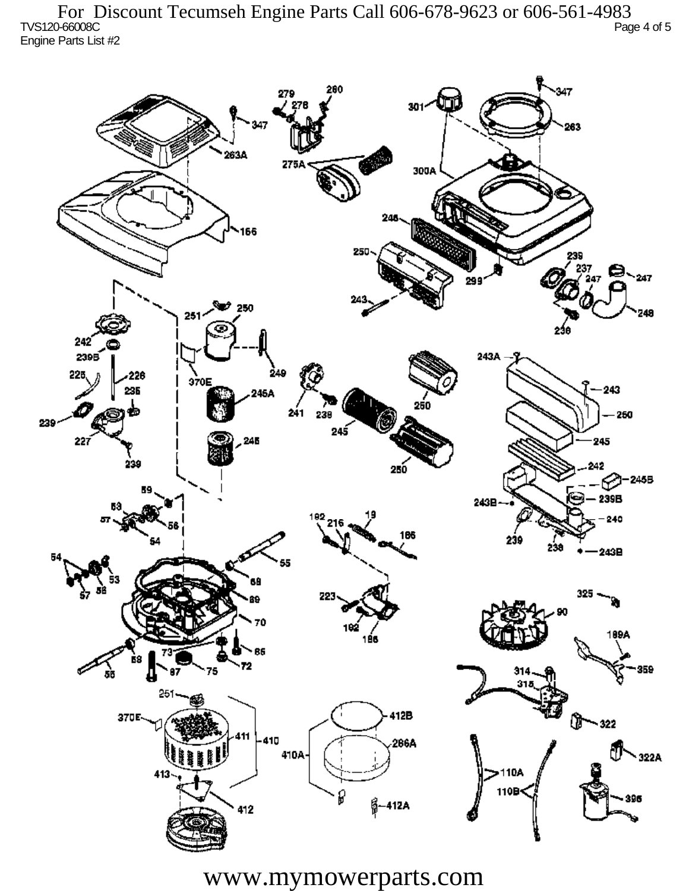TVS120-66008C Page 4 of 5 Engine Parts List #2 For Discount Tecumseh Engine Parts Call 606-678-9623 or 606-561-4983



www.mymowerparts.com